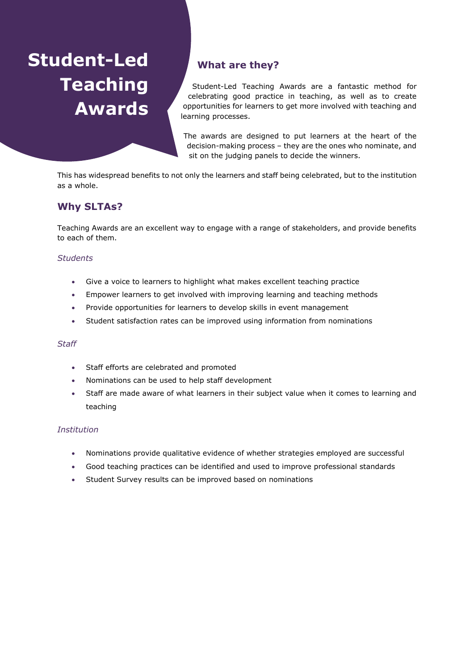# **Student-Led Teaching Awards**

# **What are they?**

Student-Led Teaching Awards are a fantastic method for celebrating good practice in teaching, as well as to create opportunities for learners to get more involved with teaching and learning processes.

The awards are designed to put learners at the heart of the decision-making process – they are the ones who nominate, and sit on the judging panels to decide the winners.

This has widespread benefits to not only the learners and staff being celebrated, but to the institution as a whole.

# **Why SLTAs?**

Teaching Awards are an excellent way to engage with a range of stakeholders, and provide benefits to each of them.

### *Students*

- Give a voice to learners to highlight what makes excellent teaching practice
- Empower learners to get involved with improving learning and teaching methods
- Provide opportunities for learners to develop skills in event management
- Student satisfaction rates can be improved using information from nominations

#### *Staff*

- Staff efforts are celebrated and promoted
- Nominations can be used to help staff development
- Staff are made aware of what learners in their subject value when it comes to learning and teaching

#### *Institution*

- Nominations provide qualitative evidence of whether strategies employed are successful
- Good teaching practices can be identified and used to improve professional standards
- Student Survey results can be improved based on nominations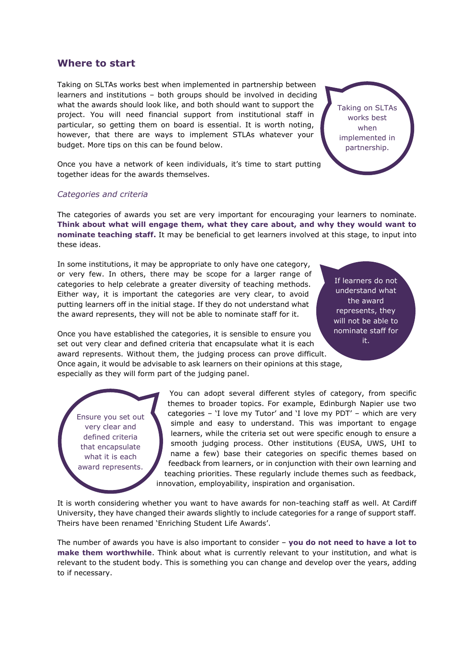## **Where to start**

Taking on SLTAs works best when implemented in partnership between learners and institutions – both groups should be involved in deciding what the awards should look like, and both should want to support the project. You will need financial support from institutional staff in particular, so getting them on board is essential. It is worth noting, however, that there are ways to implement STLAs whatever your budget. More tips on this can be found below.

Taking on SLTAs works best when implemented in partnership.

Once you have a network of keen individuals, it's time to start putting together ideas for the awards themselves.

#### *Categories and criteria*

The categories of awards you set are very important for encouraging your learners to nominate. **Think about what will engage them, what they care about, and why they would want to nominate teaching staff.** It may be beneficial to get learners involved at this stage, to input into these ideas.

In some institutions, it may be appropriate to only have one category, or very few. In others, there may be scope for a larger range of categories to help celebrate a greater diversity of teaching methods. Either way, it is important the categories are very clear, to avoid putting learners off in the initial stage. If they do not understand what the award represents, they will not be able to nominate staff for it.

If learners do not understand what the award represents, they will not be able to nominate staff for it.

Once you have established the categories, it is sensible to ensure you set out very clear and defined criteria that encapsulate what it is each award represents. Without them, the judging process can prove difficult. Once again, it would be advisable to ask learners on their opinions at this stage, especially as they will form part of the judging panel.

Ensure you set out very clear and defined criteria that encapsulate what it is each award represents.

You can adopt several different styles of category, from specific themes to broader topics. For example, Edinburgh Napier use two categories – 'I love my Tutor' and 'I love my PDT' – which are very simple and easy to understand. This was important to engage learners, while the criteria set out were specific enough to ensure a smooth judging process. Other institutions (EUSA, UWS, UHI to name a few) base their categories on specific themes based on feedback from learners, or in conjunction with their own learning and teaching priorities. These regularly include themes such as feedback, innovation, employability, inspiration and organisation.

It is worth considering whether you want to have awards for non-teaching staff as well. At Cardiff University, they have changed their awards slightly to include categories for a range of support staff. Theirs have been renamed 'Enriching Student Life Awards'.

The number of awards you have is also important to consider – **you do not need to have a lot to make them worthwhile**. Think about what is currently relevant to your institution, and what is relevant to the student body. This is something you can change and develop over the years, adding to if necessary.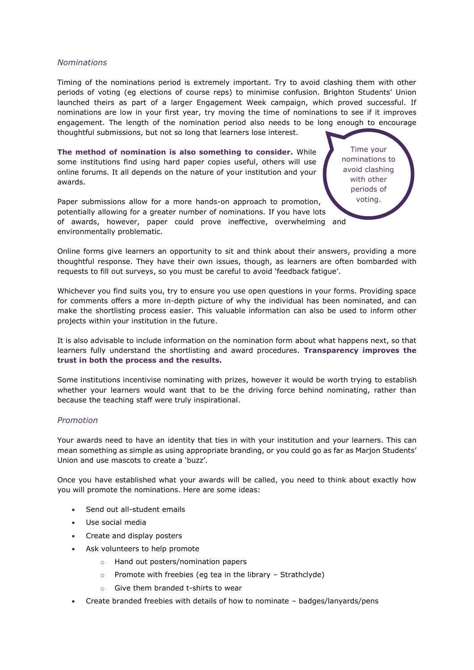#### *Nominations*

Timing of the nominations period is extremely important. Try to avoid clashing them with other periods of voting (eg elections of course reps) to minimise confusion. Brighton Students' Union launched theirs as part of a larger Engagement Week campaign, which proved successful. If nominations are low in your first year, try moving the time of nominations to see if it improves engagement. The length of the nomination period also needs to be long enough to encourage thoughtful submissions, but not so long that learners lose interest.

> Time your nominations to avoid clashing with other periods of voting.

**The method of nomination is also something to consider.** While some institutions find using hard paper copies useful, others will use online forums. It all depends on the nature of your institution and your awards.

Paper submissions allow for a more hands-on approach to promotion, potentially allowing for a greater number of nominations. If you have lots of awards, however, paper could prove ineffective, overwhelming and environmentally problematic.

Online forms give learners an opportunity to sit and think about their answers, providing a more thoughtful response. They have their own issues, though, as learners are often bombarded with requests to fill out surveys, so you must be careful to avoid 'feedback fatigue'.

Whichever you find suits you, try to ensure you use open questions in your forms. Providing space for comments offers a more in-depth picture of why the individual has been nominated, and can make the shortlisting process easier. This valuable information can also be used to inform other projects within your institution in the future.

It is also advisable to include information on the nomination form about what happens next, so that learners fully understand the shortlisting and award procedures. **Transparency improves the trust in both the process and the results.**

Some institutions incentivise nominating with prizes, however it would be worth trying to establish whether your learners would want that to be the driving force behind nominating, rather than because the teaching staff were truly inspirational.

#### *Promotion*

Your awards need to have an identity that ties in with your institution and your learners. This can mean something as simple as using appropriate branding, or you could go as far as Marjon Students' Union and use mascots to create a 'buzz'.

Once you have established what your awards will be called, you need to think about exactly how you will promote the nominations. Here are some ideas:

- Send out all-student emails
- Use social media
- Create and display posters
- Ask volunteers to help promote
	- o Hand out posters/nomination papers
	- $\circ$  Promote with freebies (eg tea in the library Strathclyde)
	- o Give them branded t-shirts to wear
- Create branded freebies with details of how to nominate badges/lanyards/pens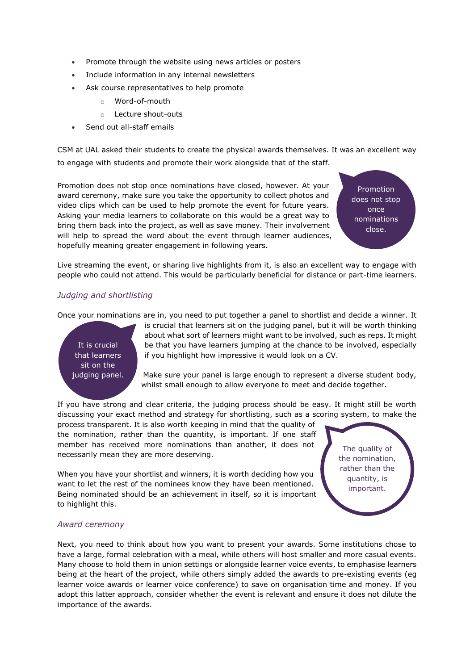- Promote through the website using news articles or posters
- Include information in any internal newsletters
- Ask course representatives to help promote
	- o Word-of-mouth
	- o Lecture shout-outs
	- Send out all-staff emails

CSM at UAL asked their students to create the physical awards themselves. It was an excellent way to engage with students and promote their work alongside that of the staff.

Promotion does not stop once nominations have closed, however. At your award ceremony, make sure you take the opportunity to collect photos and video clips which can be used to help promote the event for future years. Asking your media learners to collaborate on this would be a great way to bring them back into the project, as well as save money. Their involvement will help to spread the word about the event through learner audiences, hopefully meaning greater engagement in following years.

Promotion does not stop once nominations close.

Live streaming the event, or sharing live highlights from it, is also an excellent way to engage with people who could not attend. This would be particularly beneficial for distance or part-time learners.

#### *Judging and shortlisting*

Once your nominations are in, you need to put together a panel to shortlist and decide a winner. It



is crucial that learners sit on the judging panel, but it will be worth thinking about what sort of learners might want to be involved, such as reps. It might be that you have learners jumping at the chance to be involved, especially if you highlight how impressive it would look on a CV.

Make sure your panel is large enough to represent a diverse student body, whilst small enough to allow everyone to meet and decide together.

If you have strong and clear criteria, the judging process should be easy. It might still be worth discussing your exact method and strategy for shortlisting, such as a scoring system, to make the

process transparent. It is also worth keeping in mind that the quality of the nomination, rather than the quantity, is important. If one staff member has received more nominations than another, it does not necessarily mean they are more deserving.

When you have your shortlist and winners, it is worth deciding how you want to let the rest of the nominees know they have been mentioned. Being nominated should be an achievement in itself, so it is important to highlight this.

The quality of the nomination, rather than the quantity, is important.

#### *Award ceremony*

Next, you need to think about how you want to present your awards. Some institutions chose to have a large, formal celebration with a meal, while others will host smaller and more casual events. Many choose to hold them in union settings or alongside learner voice events, to emphasise learners being at the heart of the project, while others simply added the awards to pre-existing events (eg learner voice awards or learner voice conference) to save on organisation time and money. If you adopt this latter approach, consider whether the event is relevant and ensure it does not dilute the importance of the awards.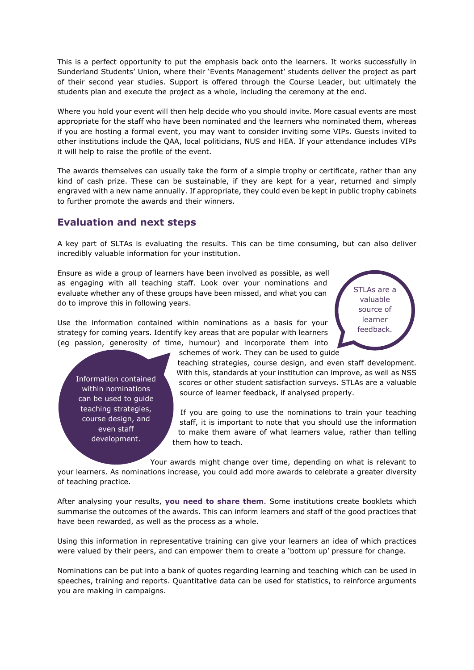This is a perfect opportunity to put the emphasis back onto the learners. It works successfully in Sunderland Students' Union, where their 'Events Management' students deliver the project as part of their second year studies. Support is offered through the Course Leader, but ultimately the students plan and execute the project as a whole, including the ceremony at the end.

Where you hold your event will then help decide who you should invite. More casual events are most appropriate for the staff who have been nominated and the learners who nominated them, whereas if you are hosting a formal event, you may want to consider inviting some VIPs. Guests invited to other institutions include the QAA, local politicians, NUS and HEA. If your attendance includes VIPs it will help to raise the profile of the event.

The awards themselves can usually take the form of a simple trophy or certificate, rather than any kind of cash prize. These can be sustainable, if they are kept for a year, returned and simply engraved with a new name annually. If appropriate, they could even be kept in public trophy cabinets to further promote the awards and their winners.

## **Evaluation and next steps**

A key part of SLTAs is evaluating the results. This can be time consuming, but can also deliver incredibly valuable information for your institution.

schemes of work. They can be used to guide

Ensure as wide a group of learners have been involved as possible, as well as engaging with all teaching staff. Look over your nominations and evaluate whether any of these groups have been missed, and what you can do to improve this in following years.

Use the information contained within nominations as a basis for your strategy for coming years. Identify key areas that are popular with learners (eg passion, generosity of time, humour) and incorporate them into STLAs are a valuable source of learner feedback.

Information contained within nominations can be used to guide teaching strategies, course design, and even staff development.

teaching strategies, course design, and even staff development. With this, standards at your institution can improve, as well as NSS scores or other student satisfaction surveys. STLAs are a valuable source of learner feedback, if analysed properly.

If you are going to use the nominations to train your teaching staff, it is important to note that you should use the information to make them aware of what learners value, rather than telling them how to teach.

Your awards might change over time, depending on what is relevant to your learners. As nominations increase, you could add more awards to celebrate a greater diversity of teaching practice.

After analysing your results, **you need to share them**. Some institutions create booklets which summarise the outcomes of the awards. This can inform learners and staff of the good practices that have been rewarded, as well as the process as a whole.

Using this information in representative training can give your learners an idea of which practices were valued by their peers, and can empower them to create a 'bottom up' pressure for change.

Nominations can be put into a bank of quotes regarding learning and teaching which can be used in speeches, training and reports. Quantitative data can be used for statistics, to reinforce arguments you are making in campaigns.